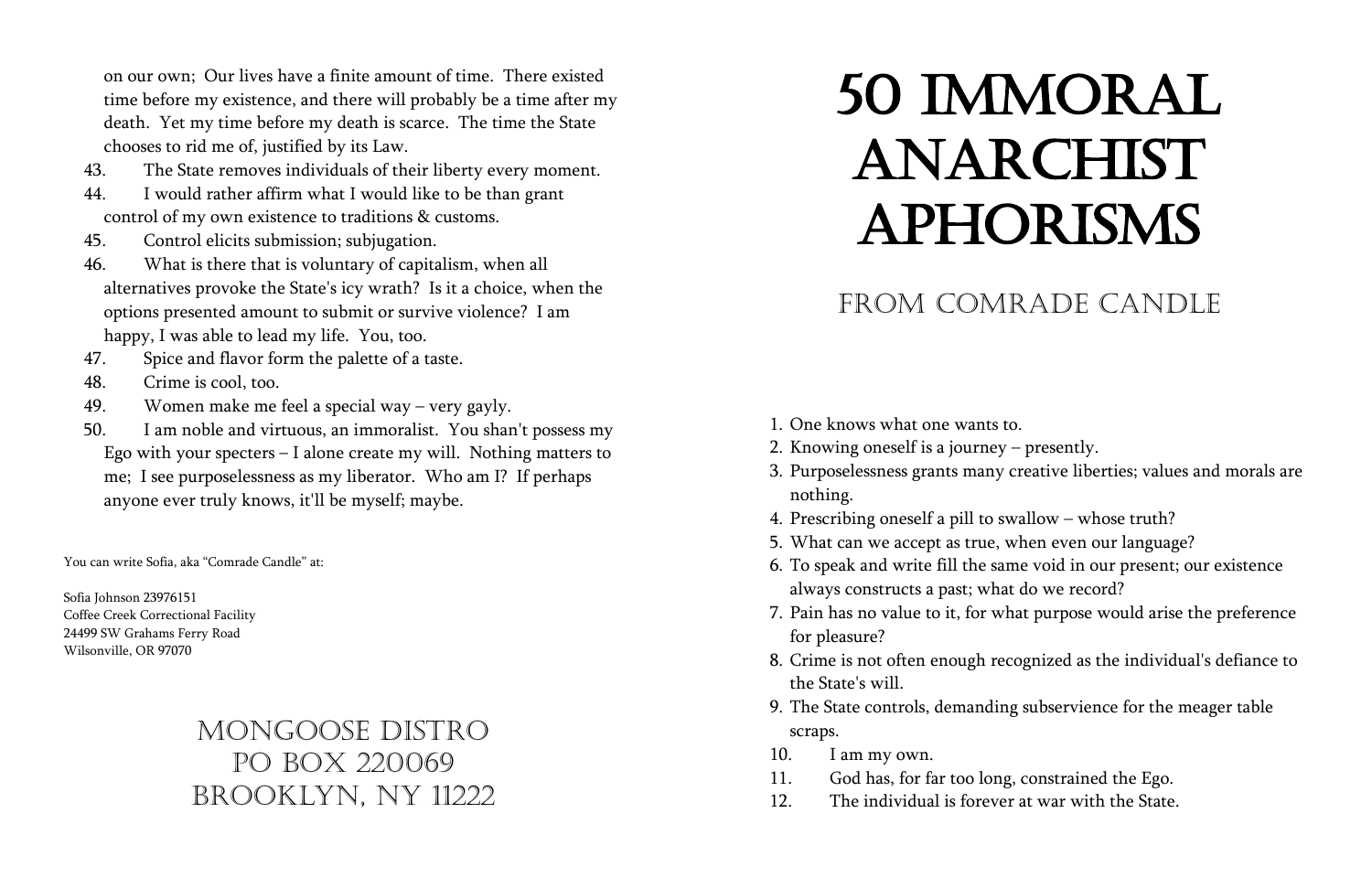## from Comrade Candle

3. Purposelessness grants many creative liberties; values and morals are

6. To speak and write fill the same void in our present; our existence 7. Pain has no value to it, for what purpose would arise the preference

- 1. One knows what one wants to.
- 2. Knowing oneself is a journey presently.
- nothing.
- 4. Prescribing oneself a pill to swallow whose truth?
- 5. What can we accept as true, when even our language?
- always constructs a past; what do we record?
- for pleasure?
- the State's will.
- scraps.
- 10. I am my own.
- 11. God has, for far too long, constrained the Ego.
- 12. The individual is forever at war with the State.

8. Crime is not often enough recognized as the individual's defiance to

9. The State controls, demanding subservience for the meager table

on our own; Our lives have a finite amount of time. There existed time before my existence, and there will probably be a time after my death. Yet my time before my death is scarce. The time the State chooses to rid me of, justified by its Law.

- 43. The State removes individuals of their liberty every moment.
- 44. I would rather affirm what I would like to be than grant control of my own existence to traditions & customs.
- 45. Control elicits submission; subjugation.
- 46. What is there that is voluntary of capitalism, when all alternatives provoke the State's icy wrath? Is it a choice, when the options presented amount to submit or survive violence? I am happy, I was able to lead my life. You, too.
- 47. Spice and flavor form the palette of a taste.
- 48. Crime is cool, too.
- 49. Women make me feel a special way very gayly.
- 50. I am noble and virtuous, an immoralist. You shan't possess my Ego with your specters – I alone create my will. Nothing matters to me; I see purposelessness as my liberator. Who am I? If perhaps anyone ever truly knows, it'll be myself; maybe.

You can write Sofia, aka "Comrade Candle" at:

Sofia Johnson 23976151 Coffee Creek Correctional Facility 24499 SW Grahams Ferry Road Wilsonville, OR 97070

## Mongoose DISTRO po Box 220069 brooklyn, Ny 11222

## 50 IMMORAL ANARCHIST **APHORISMS**